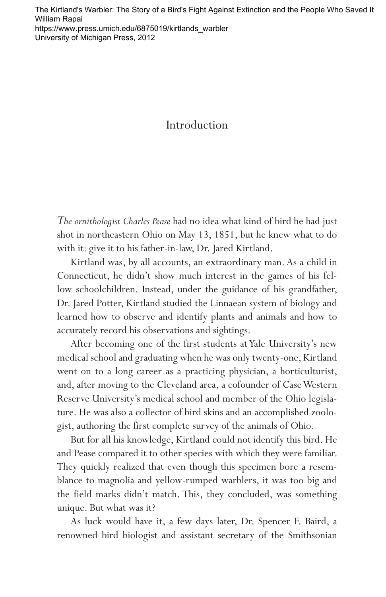[The Kirtland's Warbler: The Story of a Bird's Fight Against Extinction and the People Who Saved It](https://www.press.umich.edu/6875019/kirtlands_warbler)  William Rapai https://www.press.umich.edu/6875019/kirtlands\_warbler University of Michigan Press, 2012

## Introduction

*The ornithologist Charles Pease* had no idea what kind of bird he had just shot in northeastern Ohio on May 13, 1851, but he knew what to do with it: give it to his father-in-law, Dr. Jared Kirtland.

Kirtland was, by all accounts, an extraordinary man. As a child in Connecticut, he didn't show much interest in the games of his fellow schoolchildren. Instead, under the guidance of his grandfather, Dr. Jared Potter, Kirtland studied the Linnaean system of biology and learned how to observe and identify plants and animals and how to accurately record his observations and sightings.

After becoming one of the first students at Yale University's new medical school and graduating when he was only twenty-one, Kirtland went on to a long career as a practicing physician, a horticulturist, and, after moving to the Cleveland area, a cofounder of Case Western Reserve University's medical school and member of the Ohio legislature. He was also a collector of bird skins and an accomplished zoologist, authoring the first complete survey of the animals of Ohio.

But for all his knowledge, Kirtland could not identify this bird. He and Pease compared it to other species with which they were familiar. They quickly realized that even though this specimen bore a resemblance to magnolia and yellow-rumped warblers, it was too big and the field marks didn't match. This, they concluded, was something unique. But what was it?

As luck would have it, a few days later, Dr. Spencer F. Baird, a renowned bird biologist and assistant secretary of the Smithsonian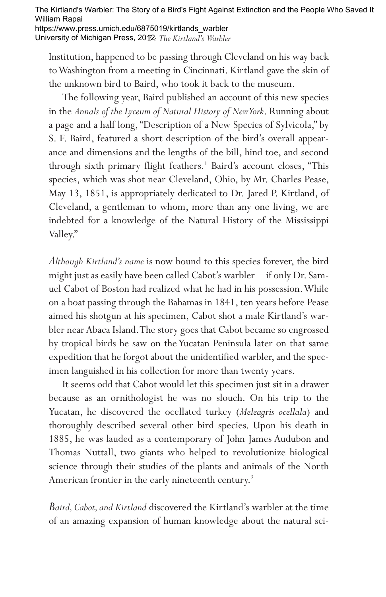University of Michigan Press, 2012: The Kirtland's Warbler The Kirtland's Warbler: The Story of a Bird's Fight Against Extinction and the People Who Saved It William Rapai https://www.press.umich.edu/6875019/kirtlands\_warbler

Institution, happened to be passing through Cleveland on his way back to Washington from a meeting in Cincinnati. Kirtland gave the skin of the unknown bird to Baird, who took it back to the museum.

The following year, Baird published an account of this new species in the *Annals of the Lyceum of Natural History of New York*. Running about a page and a half long, "Description of a New Species of Sylvicola," by S. F. Baird, featured a short description of the bird's overall appearance and dimensions and the lengths of the bill, hind toe, and second through sixth primary flight feathers.<sup>1</sup> Baird's account closes, "This species, which was shot near Cleveland, Ohio, by Mr. Charles Pease, May 13, 1851, is appropriately dedicated to Dr. Jared P. Kirtland, of Cleveland, a gentleman to whom, more than any one living, we are indebted for a knowledge of the Natural History of the Mississippi Valley."

*Although Kirtland's name* is now bound to this species forever, the bird might just as easily have been called Cabot's warbler—if only Dr. Samuel Cabot of Boston had realized what he had in his possession.While on a boat passing through the Bahamas in 1841, ten years before Pease aimed his shotgun at his specimen, Cabot shot a male Kirtland's warbler near Abaca Island.The story goes that Cabot became so engrossed by tropical birds he saw on the Yucatan Peninsula later on that same expedition that he forgot about the unidentified warbler, and the specimen languished in his collection for more than twenty years.

It seems odd that Cabot would let this specimen just sit in a drawer because as an ornithologist he was no slouch. On his trip to the Yucatan, he discovered the ocellated turkey (*Meleagris ocellala*) and thoroughly described several other bird species. Upon his death in 1885, he was lauded as a contemporary of John James Audubon and Thomas Nuttall, two giants who helped to revolutionize biological science through their studies of the plants and animals of the North American frontier in the early nineteenth century.<sup>2</sup>

*Baird, Cabot, and Kirtland* discovered the Kirtland's warbler at the time of an amazing expansion of human knowledge about the natural sci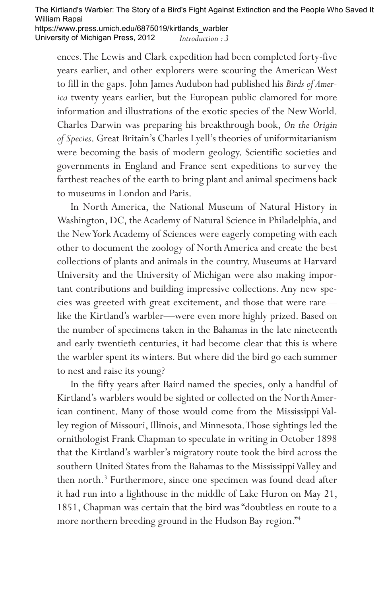The Kirtland's Warbler: The Story of a Bird's Fight Against Extinction and the People Who Saved It William Rapai https://www.press.umich.edu/6875019/kirtlands\_warbler University of Michigan Press, 2012 *Introduction : 3* 

ences.The Lewis and Clark expedition had been completed forty-five years earlier, and other explorers were scouring the American West to fill in the gaps. John James Audubon had published his *Birds of America* twenty years earlier, but the European public clamored for more information and illustrations of the exotic species of the New World. Charles Darwin was preparing his breakthrough book, *On the Origin of Species*. Great Britain's Charles Lyell's theories of uniformitarianism were becoming the basis of modern geology. Scientific societies and governments in England and France sent expeditions to survey the farthest reaches of the earth to bring plant and animal specimens back to museums in London and Paris.

In North America, the National Museum of Natural History in Washington, DC, the Academy of Natural Science in Philadelphia, and the New York Academy of Sciences were eagerly competing with each other to document the zoology of North America and create the best collections of plants and animals in the country. Museums at Harvard University and the University of Michigan were also making important contributions and building impressive collections. Any new species was greeted with great excitement, and those that were rare like the Kirtland's warbler—were even more highly prized. Based on the number of specimens taken in the Bahamas in the late nineteenth and early twentieth centuries, it had become clear that this is where the warbler spent its winters. But where did the bird go each summer to nest and raise its young?

In the fifty years after Baird named the species, only a handful of Kirtland's warblers would be sighted or collected on the North American continent. Many of those would come from the Mississippi Valley region of Missouri, Illinois, and Minnesota.Those sightings led the ornithologist Frank Chapman to speculate in writing in October 1898 that the Kirtland's warbler's migratory route took the bird across the southern United States from the Bahamas to the Mississippi Valley and then north.<sup>3</sup> Furthermore, since one specimen was found dead after it had run into a lighthouse in the middle of Lake Huron on May 21, 1851, Chapman was certain that the bird was "doubtless en route to a more northern breeding ground in the Hudson Bay region."4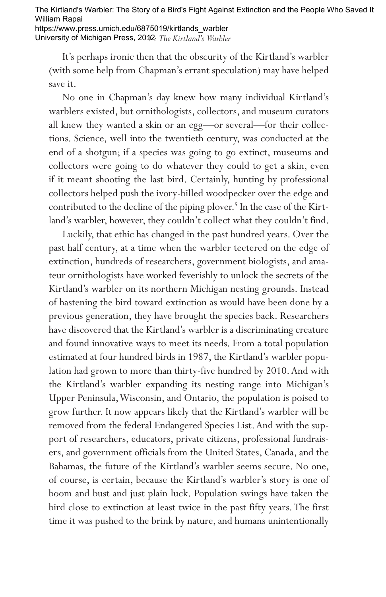## University of Michigan Press, 2042: The Kirtland's Warbler The Kirtland's Warbler: The Story of a Bird's Fight Against Extinction and the People Who Saved It William Rapai https://www.press.umich.edu/6875019/kirtlands\_warbler

It's perhaps ironic then that the obscurity of the Kirtland's warbler (with some help from Chapman's errant speculation) may have helped save it.

No one in Chapman's day knew how many individual Kirtland's warblers existed, but ornithologists, collectors, and museum curators all knew they wanted a skin or an egg—or several—for their collections. Science, well into the twentieth century, was conducted at the end of a shotgun; if a species was going to go extinct, museums and collectors were going to do whatever they could to get a skin, even if it meant shooting the last bird. Certainly, hunting by professional collectors helped push the ivory-billed woodpecker over the edge and contributed to the decline of the piping plover.<sup>5</sup> In the case of the Kirtland's warbler, however, they couldn't collect what they couldn't find.

Luckily, that ethic has changed in the past hundred years. Over the past half century, at a time when the warbler teetered on the edge of extinction, hundreds of researchers, government biologists, and amateur ornithologists have worked feverishly to unlock the secrets of the Kirtland's warbler on its northern Michigan nesting grounds. Instead of hastening the bird toward extinction as would have been done by a previous generation, they have brought the species back. Researchers have discovered that the Kirtland's warbler is a discriminating creature and found innovative ways to meet its needs. From a total population estimated at four hundred birds in 1987, the Kirtland's warbler population had grown to more than thirty-five hundred by 2010. And with the Kirtland's warbler expanding its nesting range into Michigan's Upper Peninsula,Wisconsin, and Ontario, the population is poised to grow further. It now appears likely that the Kirtland's warbler will be removed from the federal Endangered Species List.And with the support of researchers, educators, private citizens, professional fundraisers, and government officials from the United States, Canada, and the Bahamas, the future of the Kirtland's warbler seems secure. No one, of course, is certain, because the Kirtland's warbler's story is one of boom and bust and just plain luck. Population swings have taken the bird close to extinction at least twice in the past fifty years. The first time it was pushed to the brink by nature, and humans unintentionally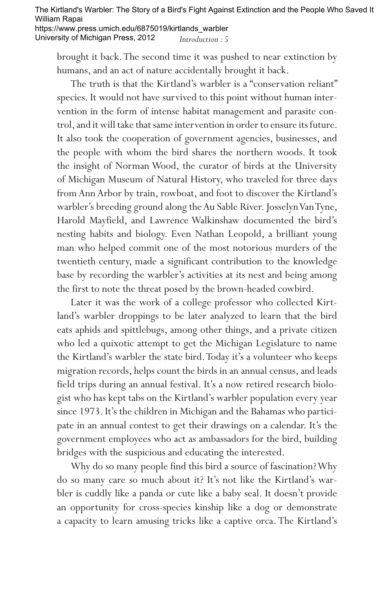The Kirtland's Warbler: The Story of a Bird's Fight Against Extinction and the People Who Saved It William Rapai https://www.press.umich.edu/6875019/kirtlands\_warbler University of Michigan Press, 2012 *Introduction : 5* 

brought it back.The second time it was pushed to near extinction by humans, and an act of nature accidentally brought it back.

The truth is that the Kirtland's warbler is a "conservation reliant" species. It would not have survived to this point without human intervention in the form of intense habitat management and parasite control, and it will take that same intervention in order to ensure its future. It also took the cooperation of government agencies, businesses, and the people with whom the bird shares the northern woods. It took the insight of Norman Wood, the curator of birds at the University of Michigan Museum of Natural History, who traveled for three days from Ann Arbor by train, rowboat, and foot to discover the Kirtland's warbler's breeding ground along the Au Sable River. Josselyn Van Tyne, Harold Mayfield, and Lawrence Walkinshaw documented the bird's nesting habits and biology. Even Nathan Leopold, a brilliant young man who helped commit one of the most notorious murders of the twentieth century, made a significant contribution to the knowledge base by recording the warbler's activities at its nest and being among the first to note the threat posed by the brown-headed cowbird.

Later it was the work of a college professor who collected Kirtland's warbler droppings to be later analyzed to learn that the bird eats aphids and spittlebugs, among other things, and a private citizen who led a quixotic attempt to get the Michigan Legislature to name the Kirtland's warbler the state bird.Today it's a volunteer who keeps migration records, helps count the birds in an annual census, and leads field trips during an annual festival. It's a now retired research biologist who has kept tabs on the Kirtland's warbler population every year since 1973. It's the children in Michigan and the Bahamas who participate in an annual contest to get their drawings on a calendar. It's the government employees who act as ambassadors for the bird, building bridges with the suspicious and educating the interested.

Why do so many people find this bird a source of fascination? Why do so many care so much about it? It's not like the Kirtland's warbler is cuddly like a panda or cute like a baby seal. It doesn't provide an opportunity for cross-species kinship like a dog or demonstrate a capacity to learn amusing tricks like a captive orca. The Kirtland's